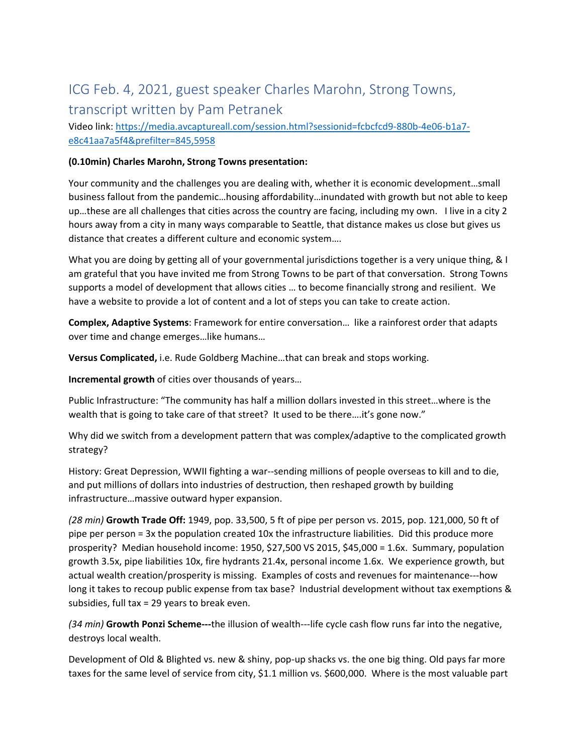# ICG Feb. 4, 2021, guest speaker Charles Marohn, Strong Towns, transcript written by Pam Petranek

Video link: https://media.avcaptureall.com/session.html?sessionid=fcbcfcd9‐880b‐4e06‐b1a7‐ e8c41aa7a5f4&prefilter=845,5958

#### **(0.10min) Charles Marohn, Strong Towns presentation:**

Your community and the challenges you are dealing with, whether it is economic development…small business fallout from the pandemic…housing affordability…inundated with growth but not able to keep up…these are all challenges that cities across the country are facing, including my own. I live in a city 2 hours away from a city in many ways comparable to Seattle, that distance makes us close but gives us distance that creates a different culture and economic system….

What you are doing by getting all of your governmental jurisdictions together is a very unique thing, & I am grateful that you have invited me from Strong Towns to be part of that conversation. Strong Towns supports a model of development that allows cities … to become financially strong and resilient. We have a website to provide a lot of content and a lot of steps you can take to create action.

**Complex, Adaptive Systems**: Framework for entire conversation… like a rainforest order that adapts over time and change emerges…like humans…

**Versus Complicated,** i.e. Rude Goldberg Machine…that can break and stops working.

**Incremental growth** of cities over thousands of years…

Public Infrastructure: "The community has half a million dollars invested in this street…where is the wealth that is going to take care of that street? It used to be there....it's gone now."

Why did we switch from a development pattern that was complex/adaptive to the complicated growth strategy?

History: Great Depression, WWII fighting a war‐‐sending millions of people overseas to kill and to die, and put millions of dollars into industries of destruction, then reshaped growth by building infrastructure…massive outward hyper expansion.

*(28 min)* **Growth Trade Off:** 1949, pop. 33,500, 5 ft of pipe per person vs. 2015, pop. 121,000, 50 ft of pipe per person = 3x the population created 10x the infrastructure liabilities. Did this produce more prosperity? Median household income: 1950, \$27,500 VS 2015, \$45,000 = 1.6x. Summary, population growth 3.5x, pipe liabilities 10x, fire hydrants 21.4x, personal income 1.6x. We experience growth, but actual wealth creation/prosperity is missing. Examples of costs and revenues for maintenance---how long it takes to recoup public expense from tax base? Industrial development without tax exemptions & subsidies, full tax = 29 years to break even.

*(34 min)* **Growth Ponzi Scheme‐‐‐**the illusion of wealth‐‐‐life cycle cash flow runs far into the negative, destroys local wealth.

Development of Old & Blighted vs. new & shiny, pop-up shacks vs. the one big thing. Old pays far more taxes for the same level of service from city, \$1.1 million vs. \$600,000. Where is the most valuable part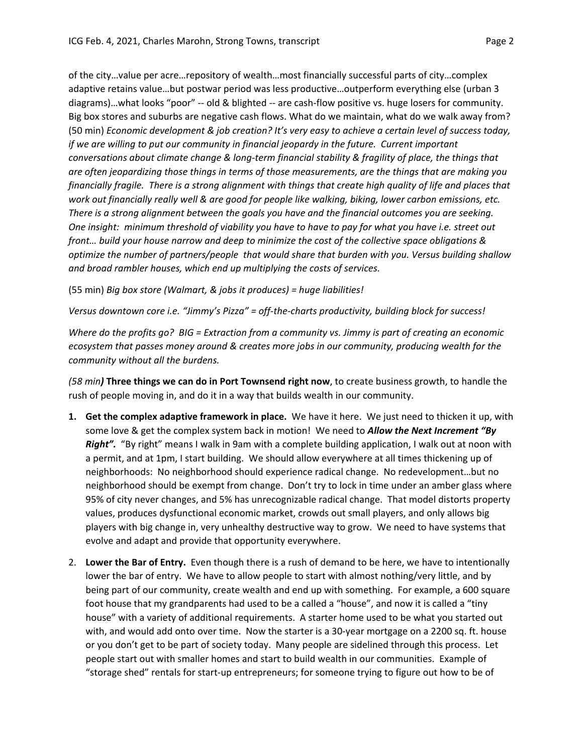of the city…value per acre…repository of wealth…most financially successful parts of city…complex adaptive retains value…but postwar period was less productive…outperform everything else (urban 3 diagrams)…what looks "poor" ‐‐ old & blighted ‐‐ are cash‐flow positive vs. huge losers for community. Big box stores and suburbs are negative cash flows. What do we maintain, what do we walk away from? (50 min) *Economic development & job creation? It's very easy to achieve a certain level of success today, if we are willing to put our community in financial jeopardy in the future. Current important conversations about climate change & long‐term financial stability & fragility of place, the things that are often jeopardizing those things in terms of those measurements, are the things that are making you* financially fragile. There is a strong alignment with things that create high quality of life and places that *work out financially really well & are good for people like walking, biking, lower carbon emissions, etc.* There is a strong alignment between the goals you have and the financial outcomes you are seeking. One insight: minimum threshold of viability you have to have to pay for what you have i.e. street out *front… build your house narrow and deep to minimize the cost of the collective space obligations & optimize the number of partners/people that would share that burden with you. Versus building shallow*

(55 min) *Big box store (Walmart, & jobs it produces) = huge liabilities!* 

*and broad rambler houses, which end up multiplying the costs of services.* 

*Versus downtown core i.e. "Jimmy's Pizza" = off‐the‐charts productivity, building block for success!*

Where do the profits go? BIG = Extraction from a community vs. Jimmy is part of creating an economic *ecosystem that passes money around & creates more jobs in our community, producing wealth for the community without all the burdens.*

*(58 min)* **Three things we can do in Port Townsend right now**, to create business growth, to handle the rush of people moving in, and do it in a way that builds wealth in our community.

- **1. Get the complex adaptive framework in place.** We have it here. We just need to thicken it up, with some love & get the complex system back in motion! We need to *Allow the Next Increment "By* Right". "By right" means I walk in 9am with a complete building application, I walk out at noon with a permit, and at 1pm, I start building. We should allow everywhere at all times thickening up of neighborhoods: No neighborhood should experience radical change. No redevelopment…but no neighborhood should be exempt from change. Don't try to lock in time under an amber glass where 95% of city never changes, and 5% has unrecognizable radical change. That model distorts property values, produces dysfunctional economic market, crowds out small players, and only allows big players with big change in, very unhealthy destructive way to grow. We need to have systems that evolve and adapt and provide that opportunity everywhere.
- 2. **Lower the Bar of Entry.** Even though there is a rush of demand to be here, we have to intentionally lower the bar of entry. We have to allow people to start with almost nothing/very little, and by being part of our community, create wealth and end up with something. For example, a 600 square foot house that my grandparents had used to be a called a "house", and now it is called a "tiny house" with a variety of additional requirements. A starter home used to be what you started out with, and would add onto over time. Now the starter is a 30‐year mortgage on a 2200 sq. ft. house or you don't get to be part of society today. Many people are sidelined through this process. Let people start out with smaller homes and start to build wealth in our communities. Example of "storage shed" rentals for start‐up entrepreneurs; for someone trying to figure out how to be of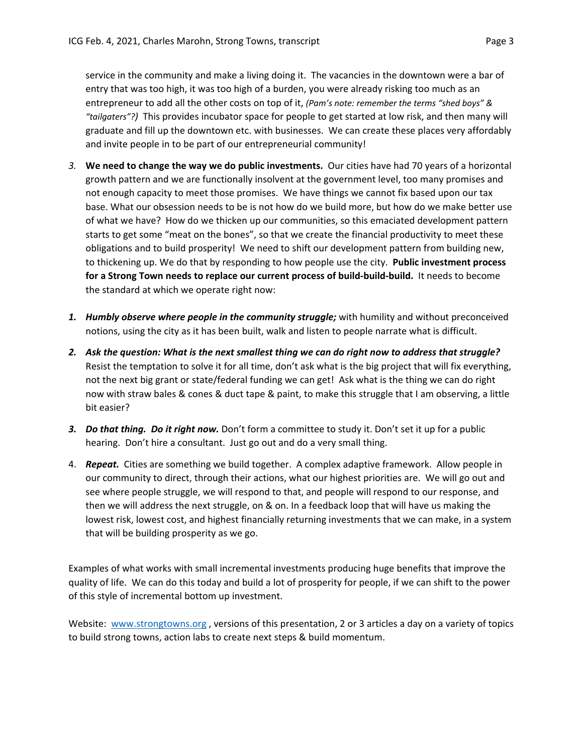and invite people in to be part of our entrepreneurial community!

service in the community and make a living doing it. The vacancies in the downtown were a bar of entry that was too high, it was too high of a burden, you were already risking too much as an entrepreneur to add all the other costs on top of it, *(Pam's note: remember the terms "shed boys" & "tailgaters"?)* This provides incubator space for people to get started at low risk, and then many will graduate and fill up the downtown etc. with businesses. We can create these places very affordably

- *3.* **We need to change the way we do public investments.** Our cities have had 70 years of a horizontal growth pattern and we are functionally insolvent at the government level, too many promises and not enough capacity to meet those promises. We have things we cannot fix based upon our tax base. What our obsession needs to be is not how do we build more, but how do we make better use of what we have? How do we thicken up our communities, so this emaciated development pattern starts to get some "meat on the bones", so that we create the financial productivity to meet these obligations and to build prosperity! We need to shift our development pattern from building new, to thickening up. We do that by responding to how people use the city. **Public investment process for a Strong Town needs to replace our current process of build‐build‐build.** It needs to become the standard at which we operate right now:
- *1. Humbly observe where people in the community struggle;* with humility and without preconceived notions, using the city as it has been built, walk and listen to people narrate what is difficult.
- 2. Ask the question: What is the next smallest thing we can do right now to address that struggle? Resist the temptation to solve it for all time, don't ask what is the big project that will fix everything, not the next big grant or state/federal funding we can get! Ask what is the thing we can do right now with straw bales & cones & duct tape & paint, to make this struggle that I am observing, a little bit easier?
- *3. Do that thing. Do it right now.* Don't form a committee to study it. Don't set it up for a public hearing. Don't hire a consultant. Just go out and do a very small thing.
- 4. *Repeat.* Cities are something we build together. A complex adaptive framework. Allow people in our community to direct, through their actions, what our highest priorities are. We will go out and see where people struggle, we will respond to that, and people will respond to our response, and then we will address the next struggle, on & on. In a feedback loop that will have us making the lowest risk, lowest cost, and highest financially returning investments that we can make, in a system that will be building prosperity as we go.

Examples of what works with small incremental investments producing huge benefits that improve the quality of life. We can do this today and build a lot of prosperity for people, if we can shift to the power of this style of incremental bottom up investment.

Website: www.strongtowns.org, versions of this presentation, 2 or 3 articles a day on a variety of topics to build strong towns, action labs to create next steps & build momentum.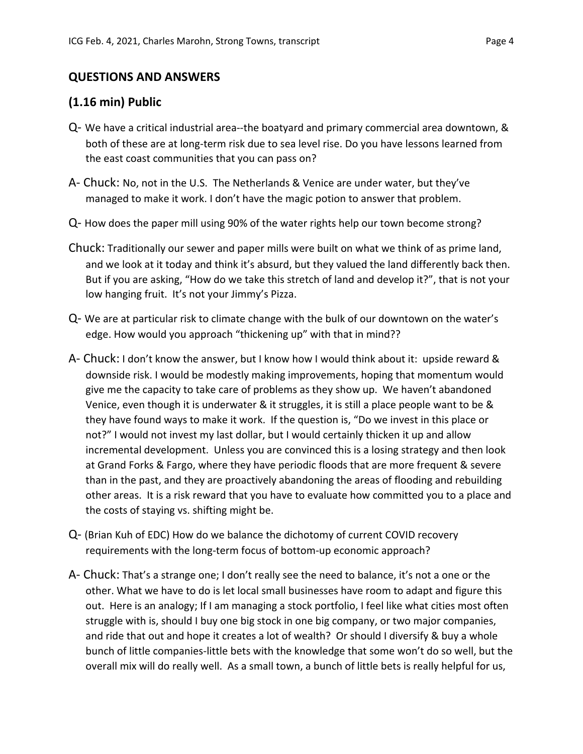### **QUESTIONS AND ANSWERS**

#### **(1.16 min) Public**

- Q‐ We have a critical industrial area‐‐the boatyard and primary commercial area downtown, & both of these are at long‐term risk due to sea level rise. Do you have lessons learned from the east coast communities that you can pass on?
- A‐ Chuck: No, not in the U.S. The Netherlands & Venice are under water, but they've managed to make it work. I don't have the magic potion to answer that problem.
- Q‐ How does the paper mill using 90% of the water rights help our town become strong?
- Chuck: Traditionally our sewer and paper mills were built on what we think of as prime land, and we look at it today and think it's absurd, but they valued the land differently back then. But if you are asking, "How do we take this stretch of land and develop it?", that is not your low hanging fruit. It's not your Jimmy's Pizza.
- Q‐ We are at particular risk to climate change with the bulk of our downtown on the water's edge. How would you approach "thickening up" with that in mind??
- A‐ Chuck: I don't know the answer, but I know how I would think about it: upside reward & downside risk. I would be modestly making improvements, hoping that momentum would give me the capacity to take care of problems as they show up. We haven't abandoned Venice, even though it is underwater & it struggles, it is still a place people want to be & they have found ways to make it work. If the question is, "Do we invest in this place or not?" I would not invest my last dollar, but I would certainly thicken it up and allow incremental development. Unless you are convinced this is a losing strategy and then look at Grand Forks & Fargo, where they have periodic floods that are more frequent & severe than in the past, and they are proactively abandoning the areas of flooding and rebuilding other areas. It is a risk reward that you have to evaluate how committed you to a place and the costs of staying vs. shifting might be.
- Q‐ (Brian Kuh of EDC) How do we balance the dichotomy of current COVID recovery requirements with the long‐term focus of bottom‐up economic approach?
- A- Chuck: That's a strange one; I don't really see the need to balance, it's not a one or the other. What we have to do is let local small businesses have room to adapt and figure this out. Here is an analogy; If I am managing a stock portfolio, I feel like what cities most often struggle with is, should I buy one big stock in one big company, or two major companies, and ride that out and hope it creates a lot of wealth? Or should I diversify & buy a whole bunch of little companies‐little bets with the knowledge that some won't do so well, but the overall mix will do really well. As a small town, a bunch of little bets is really helpful for us,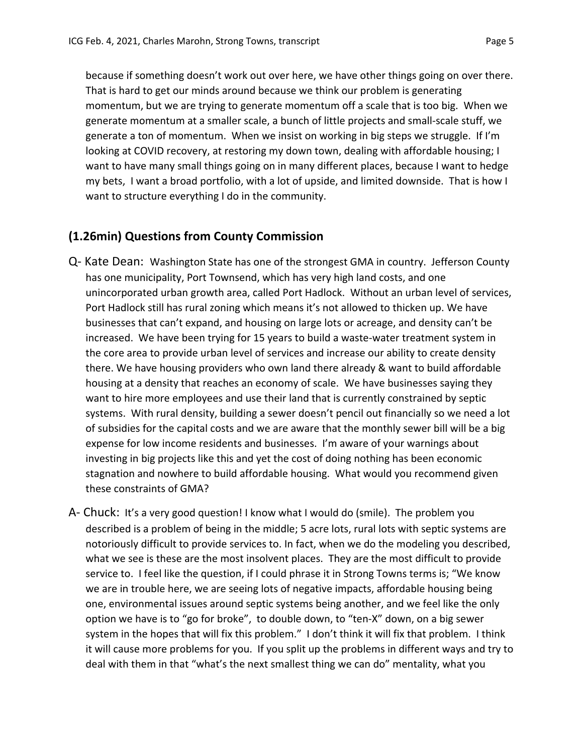because if something doesn't work out over here, we have other things going on over there. That is hard to get our minds around because we think our problem is generating momentum, but we are trying to generate momentum off a scale that is too big. When we generate momentum at a smaller scale, a bunch of little projects and small‐scale stuff, we generate a ton of momentum. When we insist on working in big steps we struggle. If I'm looking at COVID recovery, at restoring my down town, dealing with affordable housing; I want to have many small things going on in many different places, because I want to hedge my bets, I want a broad portfolio, with a lot of upside, and limited downside. That is how I want to structure everything I do in the community.

### **(1.26min) Questions from County Commission**

- Q‐ Kate Dean: Washington State has one of the strongest GMA in country. Jefferson County has one municipality, Port Townsend, which has very high land costs, and one unincorporated urban growth area, called Port Hadlock. Without an urban level of services, Port Hadlock still has rural zoning which means it's not allowed to thicken up. We have businesses that can't expand, and housing on large lots or acreage, and density can't be increased. We have been trying for 15 years to build a waste‐water treatment system in the core area to provide urban level of services and increase our ability to create density there. We have housing providers who own land there already & want to build affordable housing at a density that reaches an economy of scale. We have businesses saying they want to hire more employees and use their land that is currently constrained by septic systems. With rural density, building a sewer doesn't pencil out financially so we need a lot of subsidies for the capital costs and we are aware that the monthly sewer bill will be a big expense for low income residents and businesses. I'm aware of your warnings about investing in big projects like this and yet the cost of doing nothing has been economic stagnation and nowhere to build affordable housing. What would you recommend given these constraints of GMA?
- A‐ Chuck: It's a very good question! I know what I would do (smile). The problem you described is a problem of being in the middle; 5 acre lots, rural lots with septic systems are notoriously difficult to provide services to. In fact, when we do the modeling you described, what we see is these are the most insolvent places. They are the most difficult to provide service to. I feel like the question, if I could phrase it in Strong Towns terms is; "We know we are in trouble here, we are seeing lots of negative impacts, affordable housing being one, environmental issues around septic systems being another, and we feel like the only option we have is to "go for broke", to double down, to "ten‐X" down, on a big sewer system in the hopes that will fix this problem." I don't think it will fix that problem. I think it will cause more problems for you. If you split up the problems in different ways and try to deal with them in that "what's the next smallest thing we can do" mentality, what you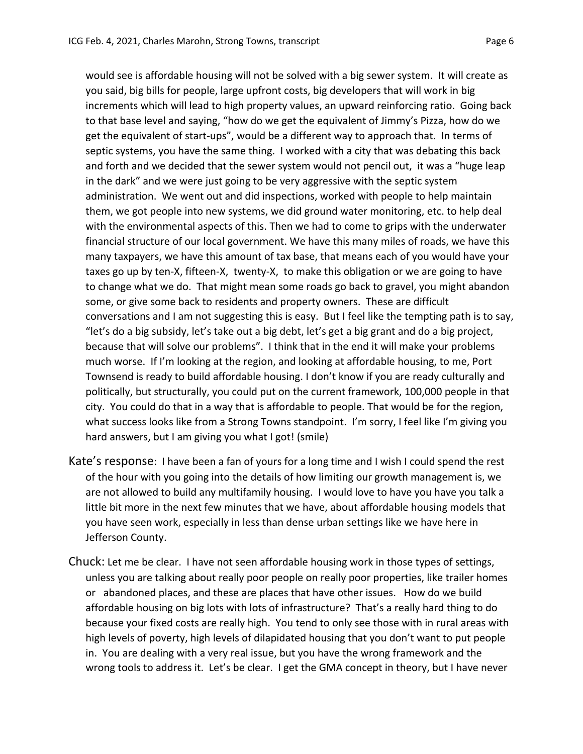would see is affordable housing will not be solved with a big sewer system. It will create as you said, big bills for people, large upfront costs, big developers that will work in big increments which will lead to high property values, an upward reinforcing ratio. Going back to that base level and saying, "how do we get the equivalent of Jimmy's Pizza, how do we get the equivalent of start‐ups", would be a different way to approach that. In terms of septic systems, you have the same thing. I worked with a city that was debating this back and forth and we decided that the sewer system would not pencil out, it was a "huge leap in the dark" and we were just going to be very aggressive with the septic system administration. We went out and did inspections, worked with people to help maintain them, we got people into new systems, we did ground water monitoring, etc. to help deal with the environmental aspects of this. Then we had to come to grips with the underwater financial structure of our local government. We have this many miles of roads, we have this many taxpayers, we have this amount of tax base, that means each of you would have your taxes go up by ten‐X, fifteen‐X, twenty‐X, to make this obligation or we are going to have to change what we do. That might mean some roads go back to gravel, you might abandon some, or give some back to residents and property owners. These are difficult conversations and I am not suggesting this is easy. But I feel like the tempting path is to say, "let's do a big subsidy, let's take out a big debt, let's get a big grant and do a big project, because that will solve our problems". I think that in the end it will make your problems much worse. If I'm looking at the region, and looking at affordable housing, to me, Port Townsend is ready to build affordable housing. I don't know if you are ready culturally and politically, but structurally, you could put on the current framework, 100,000 people in that city. You could do that in a way that is affordable to people. That would be for the region, what success looks like from a Strong Towns standpoint. I'm sorry, I feel like I'm giving you hard answers, but I am giving you what I got! (smile)

- Kate's response: I have been a fan of yours for a long time and I wish I could spend the rest of the hour with you going into the details of how limiting our growth management is, we are not allowed to build any multifamily housing. I would love to have you have you talk a little bit more in the next few minutes that we have, about affordable housing models that you have seen work, especially in less than dense urban settings like we have here in Jefferson County.
- Chuck: Let me be clear. I have not seen affordable housing work in those types of settings, unless you are talking about really poor people on really poor properties, like trailer homes or abandoned places, and these are places that have other issues. How do we build affordable housing on big lots with lots of infrastructure? That's a really hard thing to do because your fixed costs are really high. You tend to only see those with in rural areas with high levels of poverty, high levels of dilapidated housing that you don't want to put people in. You are dealing with a very real issue, but you have the wrong framework and the wrong tools to address it. Let's be clear. I get the GMA concept in theory, but I have never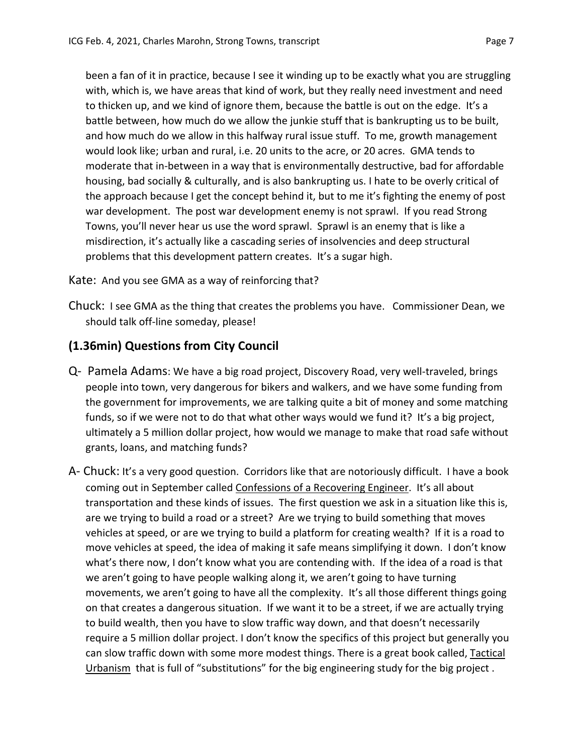been a fan of it in practice, because I see it winding up to be exactly what you are struggling with, which is, we have areas that kind of work, but they really need investment and need to thicken up, and we kind of ignore them, because the battle is out on the edge. It's a battle between, how much do we allow the junkie stuff that is bankrupting us to be built, and how much do we allow in this halfway rural issue stuff. To me, growth management would look like; urban and rural, i.e. 20 units to the acre, or 20 acres. GMA tends to moderate that in‐between in a way that is environmentally destructive, bad for affordable housing, bad socially & culturally, and is also bankrupting us. I hate to be overly critical of the approach because I get the concept behind it, but to me it's fighting the enemy of post war development. The post war development enemy is not sprawl. If you read Strong Towns, you'll never hear us use the word sprawl. Sprawl is an enemy that is like a misdirection, it's actually like a cascading series of insolvencies and deep structural problems that this development pattern creates. It's a sugar high.

Kate: And you see GMA as a way of reinforcing that?

Chuck: I see GMA as the thing that creates the problems you have. Commissioner Dean, we should talk off‐line someday, please!

## **(1.36min) Questions from City Council**

- Q‐ Pamela Adams: We have a big road project, Discovery Road, very well‐traveled, brings people into town, very dangerous for bikers and walkers, and we have some funding from the government for improvements, we are talking quite a bit of money and some matching funds, so if we were not to do that what other ways would we fund it? It's a big project, ultimately a 5 million dollar project, how would we manage to make that road safe without grants, loans, and matching funds?
- A‐ Chuck: It's a very good question. Corridors like that are notoriously difficult. I have a book coming out in September called Confessions of a Recovering Engineer. It's all about transportation and these kinds of issues. The first question we ask in a situation like this is, are we trying to build a road or a street? Are we trying to build something that moves vehicles at speed, or are we trying to build a platform for creating wealth? If it is a road to move vehicles at speed, the idea of making it safe means simplifying it down. I don't know what's there now, I don't know what you are contending with. If the idea of a road is that we aren't going to have people walking along it, we aren't going to have turning movements, we aren't going to have all the complexity. It's all those different things going on that creates a dangerous situation. If we want it to be a street, if we are actually trying to build wealth, then you have to slow traffic way down, and that doesn't necessarily require a 5 million dollar project. I don't know the specifics of this project but generally you can slow traffic down with some more modest things. There is a great book called, Tactical Urbanism that is full of "substitutions" for the big engineering study for the big project.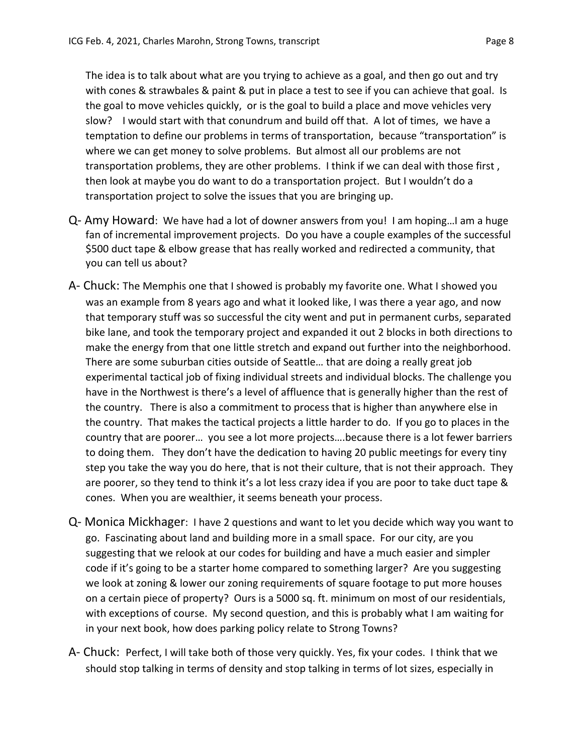The idea is to talk about what are you trying to achieve as a goal, and then go out and try with cones & strawbales & paint & put in place a test to see if you can achieve that goal. Is the goal to move vehicles quickly, or is the goal to build a place and move vehicles very slow? I would start with that conundrum and build off that. A lot of times, we have a temptation to define our problems in terms of transportation, because "transportation" is where we can get money to solve problems. But almost all our problems are not transportation problems, they are other problems. I think if we can deal with those first , then look at maybe you do want to do a transportation project. But I wouldn't do a transportation project to solve the issues that you are bringing up.

- Q‐ Amy Howard: We have had a lot of downer answers from you! I am hoping…I am a huge fan of incremental improvement projects. Do you have a couple examples of the successful \$500 duct tape & elbow grease that has really worked and redirected a community, that you can tell us about?
- A‐ Chuck: The Memphis one that I showed is probably my favorite one. What I showed you was an example from 8 years ago and what it looked like, I was there a year ago, and now that temporary stuff was so successful the city went and put in permanent curbs, separated bike lane, and took the temporary project and expanded it out 2 blocks in both directions to make the energy from that one little stretch and expand out further into the neighborhood. There are some suburban cities outside of Seattle… that are doing a really great job experimental tactical job of fixing individual streets and individual blocks. The challenge you have in the Northwest is there's a level of affluence that is generally higher than the rest of the country. There is also a commitment to process that is higher than anywhere else in the country. That makes the tactical projects a little harder to do. If you go to places in the country that are poorer… you see a lot more projects….because there is a lot fewer barriers to doing them. They don't have the dedication to having 20 public meetings for every tiny step you take the way you do here, that is not their culture, that is not their approach. They are poorer, so they tend to think it's a lot less crazy idea if you are poor to take duct tape & cones. When you are wealthier, it seems beneath your process.
- Q‐ Monica Mickhager: I have 2 questions and want to let you decide which way you want to go. Fascinating about land and building more in a small space. For our city, are you suggesting that we relook at our codes for building and have a much easier and simpler code if it's going to be a starter home compared to something larger? Are you suggesting we look at zoning & lower our zoning requirements of square footage to put more houses on a certain piece of property? Ours is a 5000 sq. ft. minimum on most of our residentials, with exceptions of course. My second question, and this is probably what I am waiting for in your next book, how does parking policy relate to Strong Towns?
- A‐ Chuck: Perfect, I will take both of those very quickly. Yes, fix your codes. I think that we should stop talking in terms of density and stop talking in terms of lot sizes, especially in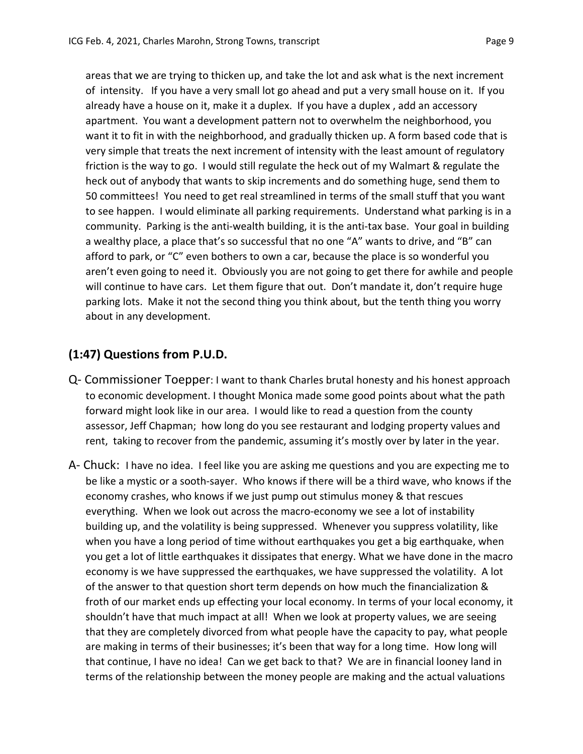areas that we are trying to thicken up, and take the lot and ask what is the next increment of intensity. If you have a very small lot go ahead and put a very small house on it. If you already have a house on it, make it a duplex. If you have a duplex , add an accessory apartment. You want a development pattern not to overwhelm the neighborhood, you want it to fit in with the neighborhood, and gradually thicken up. A form based code that is very simple that treats the next increment of intensity with the least amount of regulatory friction is the way to go. I would still regulate the heck out of my Walmart & regulate the heck out of anybody that wants to skip increments and do something huge, send them to 50 committees! You need to get real streamlined in terms of the small stuff that you want to see happen. I would eliminate all parking requirements. Understand what parking is in a community. Parking is the anti-wealth building, it is the anti-tax base. Your goal in building a wealthy place, a place that's so successful that no one "A" wants to drive, and "B" can afford to park, or "C" even bothers to own a car, because the place is so wonderful you aren't even going to need it. Obviously you are not going to get there for awhile and people will continue to have cars. Let them figure that out. Don't mandate it, don't require huge parking lots. Make it not the second thing you think about, but the tenth thing you worry about in any development.

### **(1:47) Questions from P.U.D.**

- Q‐ Commissioner Toepper: I want to thank Charles brutal honesty and his honest approach to economic development. I thought Monica made some good points about what the path forward might look like in our area. I would like to read a question from the county assessor, Jeff Chapman; how long do you see restaurant and lodging property values and rent, taking to recover from the pandemic, assuming it's mostly over by later in the year.
- A- Chuck: I have no idea. I feel like you are asking me questions and you are expecting me to be like a mystic or a sooth‐sayer. Who knows if there will be a third wave, who knows if the economy crashes, who knows if we just pump out stimulus money & that rescues everything. When we look out across the macro-economy we see a lot of instability building up, and the volatility is being suppressed. Whenever you suppress volatility, like when you have a long period of time without earthquakes you get a big earthquake, when you get a lot of little earthquakes it dissipates that energy. What we have done in the macro economy is we have suppressed the earthquakes, we have suppressed the volatility. A lot of the answer to that question short term depends on how much the financialization & froth of our market ends up effecting your local economy. In terms of your local economy, it shouldn't have that much impact at all! When we look at property values, we are seeing that they are completely divorced from what people have the capacity to pay, what people are making in terms of their businesses; it's been that way for a long time. How long will that continue, I have no idea! Can we get back to that? We are in financial looney land in terms of the relationship between the money people are making and the actual valuations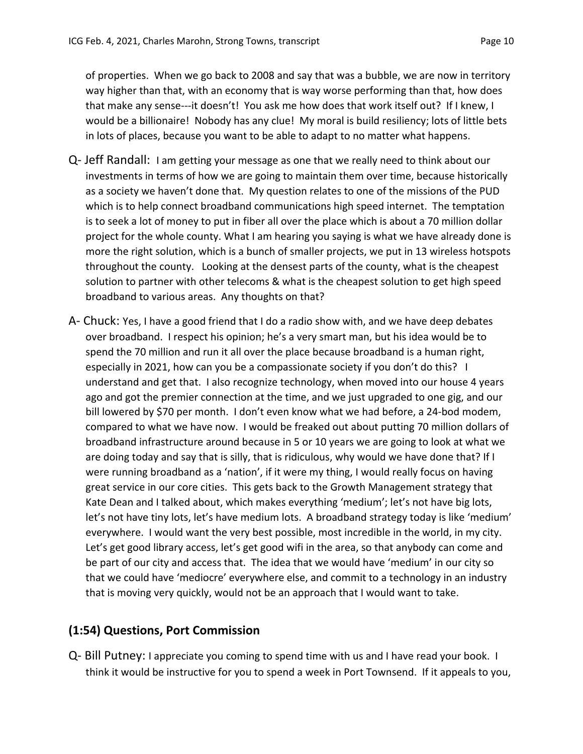of properties. When we go back to 2008 and say that was a bubble, we are now in territory way higher than that, with an economy that is way worse performing than that, how does that make any sense‐‐‐it doesn't! You ask me how does that work itself out? If I knew, I would be a billionaire! Nobody has any clue! My moral is build resiliency; lots of little bets in lots of places, because you want to be able to adapt to no matter what happens.

- Q‐ Jeff Randall: I am getting your message as one that we really need to think about our investments in terms of how we are going to maintain them over time, because historically as a society we haven't done that. My question relates to one of the missions of the PUD which is to help connect broadband communications high speed internet. The temptation is to seek a lot of money to put in fiber all over the place which is about a 70 million dollar project for the whole county. What I am hearing you saying is what we have already done is more the right solution, which is a bunch of smaller projects, we put in 13 wireless hotspots throughout the county. Looking at the densest parts of the county, what is the cheapest solution to partner with other telecoms & what is the cheapest solution to get high speed broadband to various areas. Any thoughts on that?
- A‐ Chuck: Yes, I have a good friend that I do a radio show with, and we have deep debates over broadband. I respect his opinion; he's a very smart man, but his idea would be to spend the 70 million and run it all over the place because broadband is a human right, especially in 2021, how can you be a compassionate society if you don't do this? I understand and get that. I also recognize technology, when moved into our house 4 years ago and got the premier connection at the time, and we just upgraded to one gig, and our bill lowered by \$70 per month. I don't even know what we had before, a 24‐bod modem, compared to what we have now. I would be freaked out about putting 70 million dollars of broadband infrastructure around because in 5 or 10 years we are going to look at what we are doing today and say that is silly, that is ridiculous, why would we have done that? If I were running broadband as a 'nation', if it were my thing, I would really focus on having great service in our core cities. This gets back to the Growth Management strategy that Kate Dean and I talked about, which makes everything 'medium'; let's not have big lots, let's not have tiny lots, let's have medium lots. A broadband strategy today is like 'medium' everywhere. I would want the very best possible, most incredible in the world, in my city. Let's get good library access, let's get good wifi in the area, so that anybody can come and be part of our city and access that. The idea that we would have 'medium' in our city so that we could have 'mediocre' everywhere else, and commit to a technology in an industry that is moving very quickly, would not be an approach that I would want to take.

### **(1:54) Questions, Port Commission**

Q‐ Bill Putney: I appreciate you coming to spend time with us and I have read your book. I think it would be instructive for you to spend a week in Port Townsend. If it appeals to you,